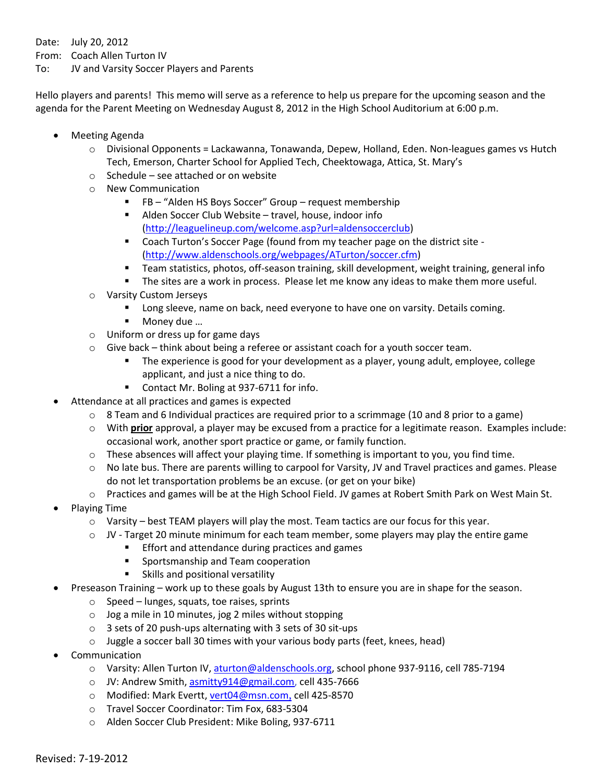Date: July 20, 2012

From: Coach Allen Turton IV

To: JV and Varsity Soccer Players and Parents

Hello players and parents! This memo will serve as a reference to help us prepare for the upcoming season and the agenda for the Parent Meeting on Wednesday August 8, 2012 in the High School Auditorium at 6:00 p.m.

- Meeting Agenda
	- o Divisional Opponents = Lackawanna, Tonawanda, Depew, Holland, Eden. Non-leagues games vs Hutch Tech, Emerson, Charter School for Applied Tech, Cheektowaga, Attica, St. Mary's
	- o Schedule see attached or on website
	- o New Communication
		- FB "Alden HS Boys Soccer" Group request membership
		- Alden Soccer Club Website travel, house, indoor info [\(http://leaguelineup.com/welcome.asp?url=aldensoccerclub\)](https://mail.aldenschools.org/owa/redir.aspx?C=b6d73bd588234020aa06cbc5abca2d3d&URL=http%3a%2f%2fleaguelineup.com%2fwelcome.asp%3furl%3daldensoccerclub)
		- Coach Turton's Soccer Page (found from my teacher page on the district site [\(http://www.aldenschools.org/webpages/ATurton/soccer.cfm\)](http://www.aldenschools.org/webpages/ATurton/soccer.cfm)
		- Team statistics, photos, off-season training, skill development, weight training, general info
		- **The sites are a work in process. Please let me know any ideas to make them more useful.**
	- o Varsity Custom Jerseys
		- **Long sleeve, name on back, need everyone to have one on varsity. Details coming.**
		- Money due ...
	- o Uniform or dress up for game days
	- $\circ$  Give back think about being a referee or assistant coach for a youth soccer team.
		- The experience is good for your development as a player, young adult, employee, college applicant, and just a nice thing to do.
		- **Contact Mr. Boling at 937-6711 for info.**
- Attendance at all practices and games is expected
	- $\circ$  8 Team and 6 Individual practices are required prior to a scrimmage (10 and 8 prior to a game)
	- o With **prior** approval, a player may be excused from a practice for a legitimate reason. Examples include: occasional work, another sport practice or game, or family function.
	- $\circ$  These absences will affect your playing time. If something is important to you, you find time.
	- o No late bus. There are parents willing to carpool for Varsity, JV and Travel practices and games. Please do not let transportation problems be an excuse. (or get on your bike)
	- o Practices and games will be at the High School Field. JV games at Robert Smith Park on West Main St.
- Playing Time
	- $\circ$  Varsity best TEAM players will play the most. Team tactics are our focus for this year.
	- o JV Target 20 minute minimum for each team member, some players may play the entire game
		- **Effort and attendance during practices and games** 
			- **Sportsmanship and Team cooperation**
		- **Skills and positional versatility**
- Preseason Training work up to these goals by August 13th to ensure you are in shape for the season.
	- o Speed lunges, squats, toe raises, sprints
	- $\circ$  Jog a mile in 10 minutes, jog 2 miles without stopping
	- o 3 sets of 20 push-ups alternating with 3 sets of 30 sit-ups
	- o Juggle a soccer ball 30 times with your various body parts (feet, knees, head)
- Communication
	- o Varsity: Allen Turton IV[, aturton@aldenschools.org,](mailto:aturton@aldenschools.org) school phone 937-9116, cell 785-7194
	- o JV: Andrew Smith, asmitty 914@gmail.com, cell 435-7666
	- o Modified: Mark Evertt, vert04@msn.com, cell 425-8570
	- o Travel Soccer Coordinator: Tim Fox, 683-5304
	- o Alden Soccer Club President: Mike Boling, 937-6711